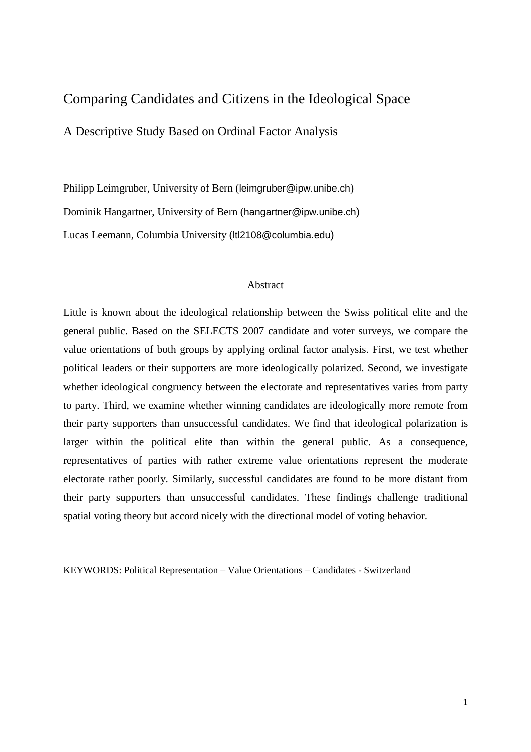# Comparing Candidates and Citizens in the Ideological Space

A Descriptive Study Based on Ordinal Factor Analysis

Philipp Leimgruber, University of Bern (leimgruber@ipw.unibe.ch) Dominik Hangartner, University of Bern (hangartner@ipw.unibe.ch) Lucas Leemann, Columbia University (ltl2108@columbia.edu)

## Abstract

Little is known about the ideological relationship between the Swiss political elite and the general public. Based on the SELECTS 2007 candidate and voter surveys, we compare the value orientations of both groups by applying ordinal factor analysis. First, we test whether political leaders or their supporters are more ideologically polarized. Second, we investigate whether ideological congruency between the electorate and representatives varies from party to party. Third, we examine whether winning candidates are ideologically more remote from their party supporters than unsuccessful candidates. We find that ideological polarization is larger within the political elite than within the general public. As a consequence, representatives of parties with rather extreme value orientations represent the moderate electorate rather poorly. Similarly, successful candidates are found to be more distant from their party supporters than unsuccessful candidates. These findings challenge traditional spatial voting theory but accord nicely with the directional model of voting behavior.

KEYWORDS: Political Representation – Value Orientations – Candidates - Switzerland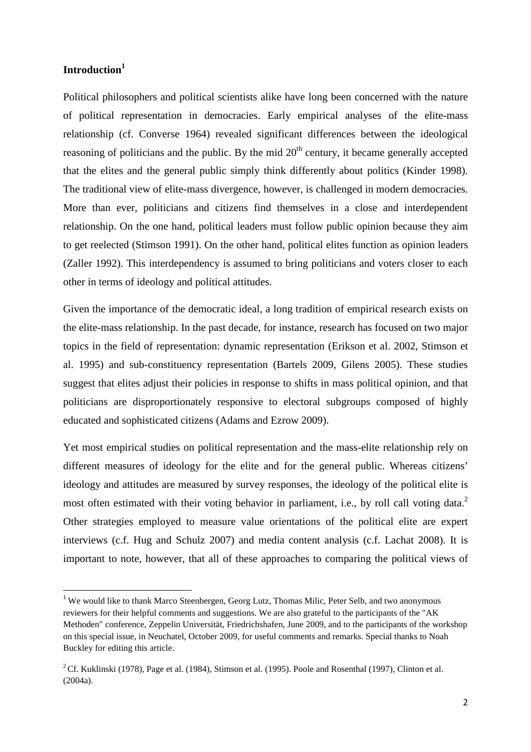# **Introduction<sup>1</sup>**

 $\overline{a}$ 

Political philosophers and political scientists alike have long been concerned with the nature of political representation in democracies. Early empirical analyses of the elite-mass relationship (cf. Converse 1964) revealed significant differences between the ideological reasoning of politicians and the public. By the mid  $20<sup>th</sup>$  century, it became generally accepted that the elites and the general public simply think differently about politics (Kinder 1998). The traditional view of elite-mass divergence, however, is challenged in modern democracies. More than ever, politicians and citizens find themselves in a close and interdependent relationship. On the one hand, political leaders must follow public opinion because they aim to get reelected (Stimson 1991). On the other hand, political elites function as opinion leaders (Zaller 1992). This interdependency is assumed to bring politicians and voters closer to each other in terms of ideology and political attitudes.

Given the importance of the democratic ideal, a long tradition of empirical research exists on the elite-mass relationship. In the past decade, for instance, research has focused on two major topics in the field of representation: dynamic representation (Erikson et al. 2002, Stimson et al. 1995) and sub-constituency representation (Bartels 2009, Gilens 2005). These studies suggest that elites adjust their policies in response to shifts in mass political opinion, and that politicians are disproportionately responsive to electoral subgroups composed of highly educated and sophisticated citizens (Adams and Ezrow 2009).

Yet most empirical studies on political representation and the mass-elite relationship rely on different measures of ideology for the elite and for the general public. Whereas citizens' ideology and attitudes are measured by survey responses, the ideology of the political elite is most often estimated with their voting behavior in parliament, i.e., by roll call voting data.<sup>2</sup> Other strategies employed to measure value orientations of the political elite are expert interviews (c.f. Hug and Schulz 2007) and media content analysis (c.f. Lachat 2008). It is important to note, however, that all of these approaches to comparing the political views of

<sup>&</sup>lt;sup>1</sup> We would like to thank Marco Steenbergen, Georg Lutz, Thomas Milic, Peter Selb, and two anonymous reviewers for their helpful comments and suggestions. We are also grateful to the participants of the "AK Methoden" conference, Zeppelin Universität, Friedrichshafen, June 2009, and to the participants of the workshop on this special issue, in Neuchatel, October 2009, for useful comments and remarks. Special thanks to Noah Buckley for editing this article.

<sup>&</sup>lt;sup>2</sup>Cf. Kuklinski (1978), Page et al. (1984), Stimson et al. (1995). Poole and Rosenthal (1997), Clinton et al. (2004a).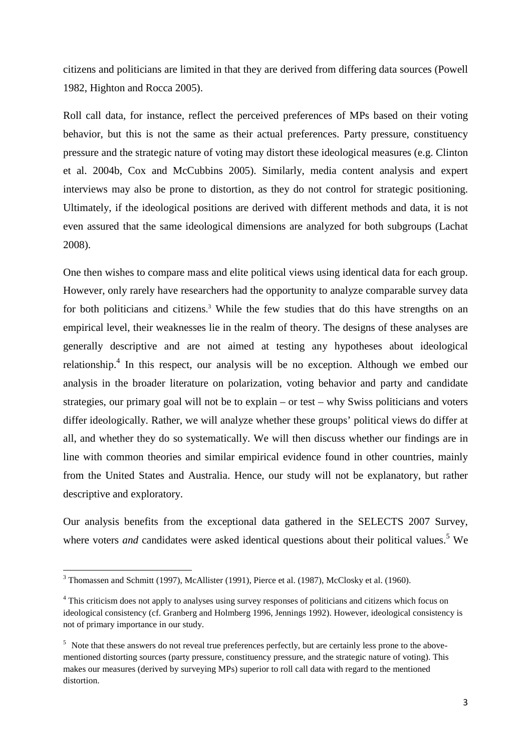citizens and politicians are limited in that they are derived from differing data sources (Powell 1982, Highton and Rocca 2005).

Roll call data, for instance, reflect the perceived preferences of MPs based on their voting behavior, but this is not the same as their actual preferences. Party pressure, constituency pressure and the strategic nature of voting may distort these ideological measures (e.g. Clinton et al. 2004b, Cox and McCubbins 2005). Similarly, media content analysis and expert interviews may also be prone to distortion, as they do not control for strategic positioning. Ultimately, if the ideological positions are derived with different methods and data, it is not even assured that the same ideological dimensions are analyzed for both subgroups (Lachat 2008).

One then wishes to compare mass and elite political views using identical data for each group. However, only rarely have researchers had the opportunity to analyze comparable survey data for both politicians and citizens.<sup>3</sup> While the few studies that do this have strengths on an empirical level, their weaknesses lie in the realm of theory. The designs of these analyses are generally descriptive and are not aimed at testing any hypotheses about ideological relationship.<sup>4</sup> In this respect, our analysis will be no exception. Although we embed our analysis in the broader literature on polarization, voting behavior and party and candidate strategies, our primary goal will not be to explain – or test – why Swiss politicians and voters differ ideologically. Rather, we will analyze whether these groups' political views do differ at all, and whether they do so systematically. We will then discuss whether our findings are in line with common theories and similar empirical evidence found in other countries, mainly from the United States and Australia. Hence, our study will not be explanatory, but rather descriptive and exploratory.

Our analysis benefits from the exceptional data gathered in the SELECTS 2007 Survey, where voters *and* candidates were asked identical questions about their political values.<sup>5</sup> We

 $\overline{a}$ 

 $3$  Thomassen and Schmitt (1997), McAllister (1991), Pierce et al. (1987), McClosky et al. (1960).

<sup>&</sup>lt;sup>4</sup> This criticism does not apply to analyses using survey responses of politicians and citizens which focus on ideological consistency (cf. Granberg and Holmberg 1996, Jennings 1992). However, ideological consistency is not of primary importance in our study.

<sup>&</sup>lt;sup>5</sup> Note that these answers do not reveal true preferences perfectly, but are certainly less prone to the abovementioned distorting sources (party pressure, constituency pressure, and the strategic nature of voting). This makes our measures (derived by surveying MPs) superior to roll call data with regard to the mentioned distortion.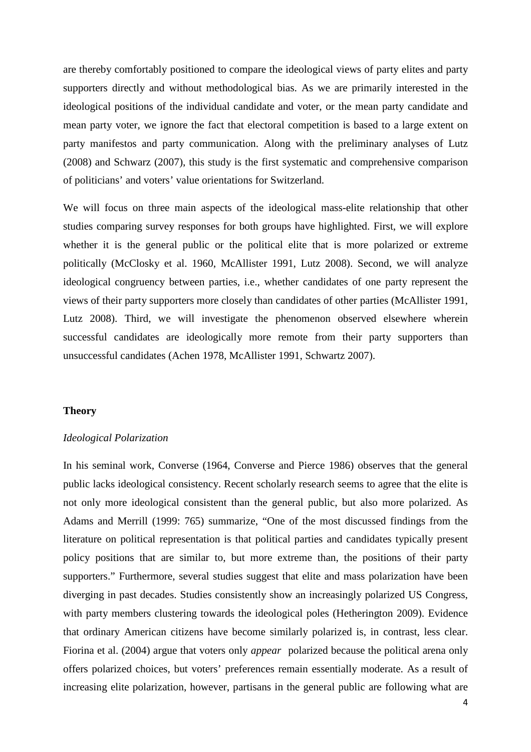are thereby comfortably positioned to compare the ideological views of party elites and party supporters directly and without methodological bias. As we are primarily interested in the ideological positions of the individual candidate and voter, or the mean party candidate and mean party voter, we ignore the fact that electoral competition is based to a large extent on party manifestos and party communication. Along with the preliminary analyses of Lutz (2008) and Schwarz (2007), this study is the first systematic and comprehensive comparison of politicians' and voters' value orientations for Switzerland.

We will focus on three main aspects of the ideological mass-elite relationship that other studies comparing survey responses for both groups have highlighted. First, we will explore whether it is the general public or the political elite that is more polarized or extreme politically (McClosky et al. 1960, McAllister 1991, Lutz 2008). Second, we will analyze ideological congruency between parties, i.e., whether candidates of one party represent the views of their party supporters more closely than candidates of other parties (McAllister 1991, Lutz 2008). Third, we will investigate the phenomenon observed elsewhere wherein successful candidates are ideologically more remote from their party supporters than unsuccessful candidates (Achen 1978, McAllister 1991, Schwartz 2007).

#### **Theory**

#### *Ideological Polarization*

In his seminal work, Converse (1964, Converse and Pierce 1986) observes that the general public lacks ideological consistency. Recent scholarly research seems to agree that the elite is not only more ideological consistent than the general public, but also more polarized. As Adams and Merrill (1999: 765) summarize, "One of the most discussed findings from the literature on political representation is that political parties and candidates typically present policy positions that are similar to, but more extreme than, the positions of their party supporters." Furthermore, several studies suggest that elite and mass polarization have been diverging in past decades. Studies consistently show an increasingly polarized US Congress, with party members clustering towards the ideological poles (Hetherington 2009). Evidence that ordinary American citizens have become similarly polarized is, in contrast, less clear. Fiorina et al. (2004) argue that voters only *appear* polarized because the political arena only offers polarized choices, but voters' preferences remain essentially moderate. As a result of increasing elite polarization, however, partisans in the general public are following what are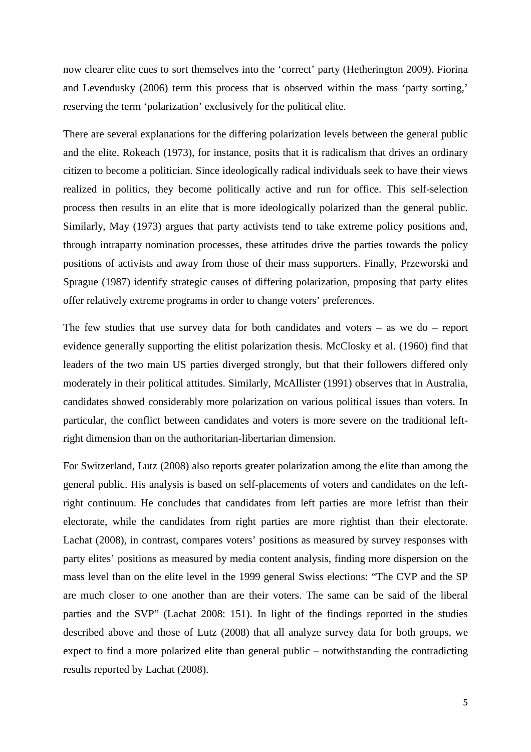now clearer elite cues to sort themselves into the 'correct' party (Hetherington 2009). Fiorina and Levendusky (2006) term this process that is observed within the mass 'party sorting,' reserving the term 'polarization' exclusively for the political elite.

There are several explanations for the differing polarization levels between the general public and the elite. Rokeach (1973), for instance, posits that it is radicalism that drives an ordinary citizen to become a politician. Since ideologically radical individuals seek to have their views realized in politics, they become politically active and run for office. This self-selection process then results in an elite that is more ideologically polarized than the general public. Similarly, May (1973) argues that party activists tend to take extreme policy positions and, through intraparty nomination processes, these attitudes drive the parties towards the policy positions of activists and away from those of their mass supporters. Finally, Przeworski and Sprague (1987) identify strategic causes of differing polarization, proposing that party elites offer relatively extreme programs in order to change voters' preferences.

The few studies that use survey data for both candidates and voters – as we do – report evidence generally supporting the elitist polarization thesis. McClosky et al. (1960) find that leaders of the two main US parties diverged strongly, but that their followers differed only moderately in their political attitudes. Similarly, McAllister (1991) observes that in Australia, candidates showed considerably more polarization on various political issues than voters. In particular, the conflict between candidates and voters is more severe on the traditional leftright dimension than on the authoritarian-libertarian dimension.

For Switzerland, Lutz (2008) also reports greater polarization among the elite than among the general public. His analysis is based on self-placements of voters and candidates on the leftright continuum. He concludes that candidates from left parties are more leftist than their electorate, while the candidates from right parties are more rightist than their electorate. Lachat (2008), in contrast, compares voters' positions as measured by survey responses with party elites' positions as measured by media content analysis, finding more dispersion on the mass level than on the elite level in the 1999 general Swiss elections: "The CVP and the SP are much closer to one another than are their voters. The same can be said of the liberal parties and the SVP" (Lachat 2008: 151). In light of the findings reported in the studies described above and those of Lutz (2008) that all analyze survey data for both groups, we expect to find a more polarized elite than general public – notwithstanding the contradicting results reported by Lachat (2008).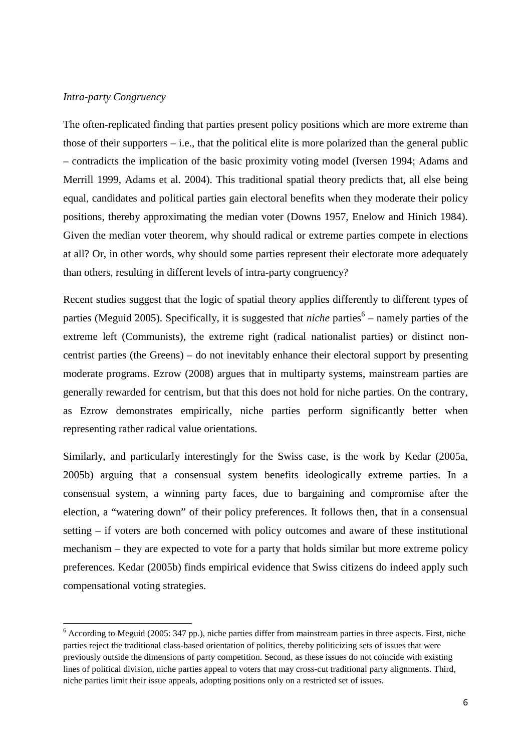# *Intra-party Congruency*

 $\overline{a}$ 

The often-replicated finding that parties present policy positions which are more extreme than those of their supporters – i.e., that the political elite is more polarized than the general public – contradicts the implication of the basic proximity voting model (Iversen 1994; Adams and Merrill 1999, Adams et al. 2004). This traditional spatial theory predicts that, all else being equal, candidates and political parties gain electoral benefits when they moderate their policy positions, thereby approximating the median voter (Downs 1957, Enelow and Hinich 1984). Given the median voter theorem, why should radical or extreme parties compete in elections at all? Or, in other words, why should some parties represent their electorate more adequately than others, resulting in different levels of intra-party congruency?

Recent studies suggest that the logic of spatial theory applies differently to different types of parties (Meguid 2005). Specifically, it is suggested that *niche* parties<sup>6</sup> – namely parties of the extreme left (Communists), the extreme right (radical nationalist parties) or distinct noncentrist parties (the Greens) – do not inevitably enhance their electoral support by presenting moderate programs. Ezrow (2008) argues that in multiparty systems, mainstream parties are generally rewarded for centrism, but that this does not hold for niche parties. On the contrary, as Ezrow demonstrates empirically, niche parties perform significantly better when representing rather radical value orientations.

Similarly, and particularly interestingly for the Swiss case, is the work by Kedar (2005a, 2005b) arguing that a consensual system benefits ideologically extreme parties. In a consensual system, a winning party faces, due to bargaining and compromise after the election, a "watering down" of their policy preferences. It follows then, that in a consensual setting – if voters are both concerned with policy outcomes and aware of these institutional mechanism – they are expected to vote for a party that holds similar but more extreme policy preferences. Kedar (2005b) finds empirical evidence that Swiss citizens do indeed apply such compensational voting strategies.

<sup>&</sup>lt;sup>6</sup> According to Meguid (2005: 347 pp.), niche parties differ from mainstream parties in three aspects. First, niche parties reject the traditional class-based orientation of politics, thereby politicizing sets of issues that were previously outside the dimensions of party competition. Second, as these issues do not coincide with existing lines of political division, niche parties appeal to voters that may cross-cut traditional party alignments. Third, niche parties limit their issue appeals, adopting positions only on a restricted set of issues.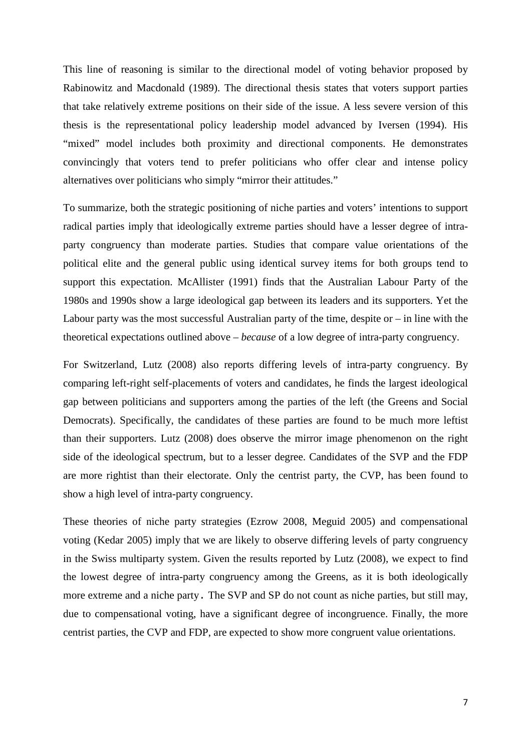This line of reasoning is similar to the directional model of voting behavior proposed by Rabinowitz and Macdonald (1989). The directional thesis states that voters support parties that take relatively extreme positions on their side of the issue. A less severe version of this thesis is the representational policy leadership model advanced by Iversen (1994). His "mixed" model includes both proximity and directional components. He demonstrates convincingly that voters tend to prefer politicians who offer clear and intense policy alternatives over politicians who simply "mirror their attitudes."

To summarize, both the strategic positioning of niche parties and voters' intentions to support radical parties imply that ideologically extreme parties should have a lesser degree of intraparty congruency than moderate parties. Studies that compare value orientations of the political elite and the general public using identical survey items for both groups tend to support this expectation. McAllister (1991) finds that the Australian Labour Party of the 1980s and 1990s show a large ideological gap between its leaders and its supporters. Yet the Labour party was the most successful Australian party of the time, despite or – in line with the theoretical expectations outlined above – *because* of a low degree of intra-party congruency.

For Switzerland, Lutz (2008) also reports differing levels of intra-party congruency. By comparing left-right self-placements of voters and candidates, he finds the largest ideological gap between politicians and supporters among the parties of the left (the Greens and Social Democrats). Specifically, the candidates of these parties are found to be much more leftist than their supporters. Lutz (2008) does observe the mirror image phenomenon on the right side of the ideological spectrum, but to a lesser degree. Candidates of the SVP and the FDP are more rightist than their electorate. Only the centrist party, the CVP, has been found to show a high level of intra-party congruency.

These theories of niche party strategies (Ezrow 2008, Meguid 2005) and compensational voting (Kedar 2005) imply that we are likely to observe differing levels of party congruency in the Swiss multiparty system. Given the results reported by Lutz (2008), we expect to find the lowest degree of intra-party congruency among the Greens, as it is both ideologically more extreme and a niche party. The SVP and SP do not count as niche parties, but still may, due to compensational voting, have a significant degree of incongruence. Finally, the more centrist parties, the CVP and FDP, are expected to show more congruent value orientations.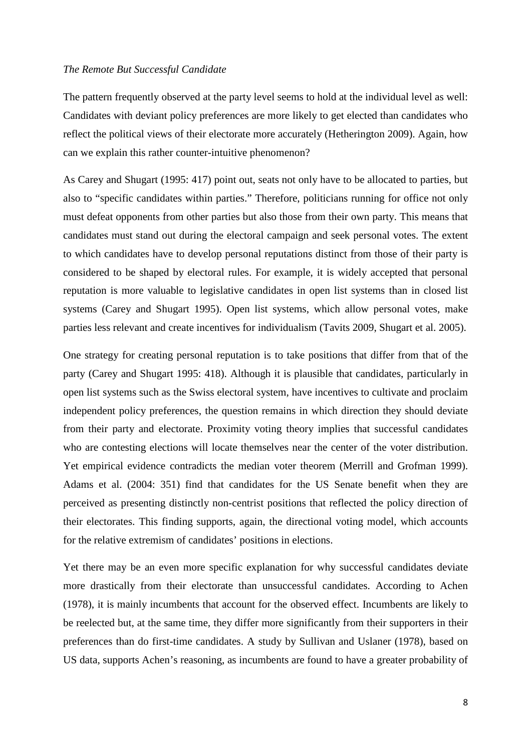#### *The Remote But Successful Candidate*

The pattern frequently observed at the party level seems to hold at the individual level as well: Candidates with deviant policy preferences are more likely to get elected than candidates who reflect the political views of their electorate more accurately (Hetherington 2009). Again, how can we explain this rather counter-intuitive phenomenon?

As Carey and Shugart (1995: 417) point out, seats not only have to be allocated to parties, but also to "specific candidates within parties." Therefore, politicians running for office not only must defeat opponents from other parties but also those from their own party. This means that candidates must stand out during the electoral campaign and seek personal votes. The extent to which candidates have to develop personal reputations distinct from those of their party is considered to be shaped by electoral rules. For example, it is widely accepted that personal reputation is more valuable to legislative candidates in open list systems than in closed list systems (Carey and Shugart 1995). Open list systems, which allow personal votes, make parties less relevant and create incentives for individualism (Tavits 2009, Shugart et al. 2005).

One strategy for creating personal reputation is to take positions that differ from that of the party (Carey and Shugart 1995: 418). Although it is plausible that candidates, particularly in open list systems such as the Swiss electoral system, have incentives to cultivate and proclaim independent policy preferences, the question remains in which direction they should deviate from their party and electorate. Proximity voting theory implies that successful candidates who are contesting elections will locate themselves near the center of the voter distribution. Yet empirical evidence contradicts the median voter theorem (Merrill and Grofman 1999). Adams et al. (2004: 351) find that candidates for the US Senate benefit when they are perceived as presenting distinctly non-centrist positions that reflected the policy direction of their electorates. This finding supports, again, the directional voting model, which accounts for the relative extremism of candidates' positions in elections.

Yet there may be an even more specific explanation for why successful candidates deviate more drastically from their electorate than unsuccessful candidates. According to Achen (1978), it is mainly incumbents that account for the observed effect. Incumbents are likely to be reelected but, at the same time, they differ more significantly from their supporters in their preferences than do first-time candidates. A study by Sullivan and Uslaner (1978), based on US data, supports Achen's reasoning, as incumbents are found to have a greater probability of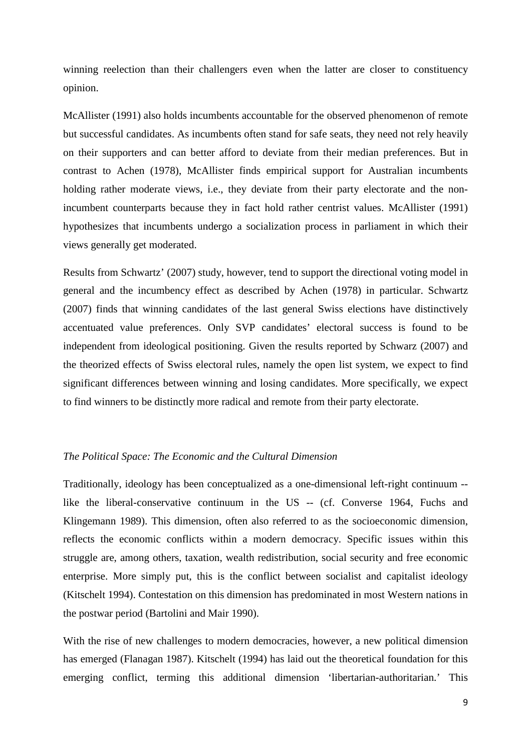winning reelection than their challengers even when the latter are closer to constituency opinion.

McAllister (1991) also holds incumbents accountable for the observed phenomenon of remote but successful candidates. As incumbents often stand for safe seats, they need not rely heavily on their supporters and can better afford to deviate from their median preferences. But in contrast to Achen (1978), McAllister finds empirical support for Australian incumbents holding rather moderate views, i.e., they deviate from their party electorate and the nonincumbent counterparts because they in fact hold rather centrist values. McAllister (1991) hypothesizes that incumbents undergo a socialization process in parliament in which their views generally get moderated.

Results from Schwartz' (2007) study, however, tend to support the directional voting model in general and the incumbency effect as described by Achen (1978) in particular. Schwartz (2007) finds that winning candidates of the last general Swiss elections have distinctively accentuated value preferences. Only SVP candidates' electoral success is found to be independent from ideological positioning. Given the results reported by Schwarz (2007) and the theorized effects of Swiss electoral rules, namely the open list system, we expect to find significant differences between winning and losing candidates. More specifically, we expect to find winners to be distinctly more radical and remote from their party electorate.

# *The Political Space: The Economic and the Cultural Dimension*

Traditionally, ideology has been conceptualized as a one-dimensional left-right continuum - like the liberal-conservative continuum in the US -- (cf. Converse 1964, Fuchs and Klingemann 1989). This dimension, often also referred to as the socioeconomic dimension, reflects the economic conflicts within a modern democracy. Specific issues within this struggle are, among others, taxation, wealth redistribution, social security and free economic enterprise. More simply put, this is the conflict between socialist and capitalist ideology (Kitschelt 1994). Contestation on this dimension has predominated in most Western nations in the postwar period (Bartolini and Mair 1990).

With the rise of new challenges to modern democracies, however, a new political dimension has emerged (Flanagan 1987). Kitschelt (1994) has laid out the theoretical foundation for this emerging conflict, terming this additional dimension 'libertarian-authoritarian.' This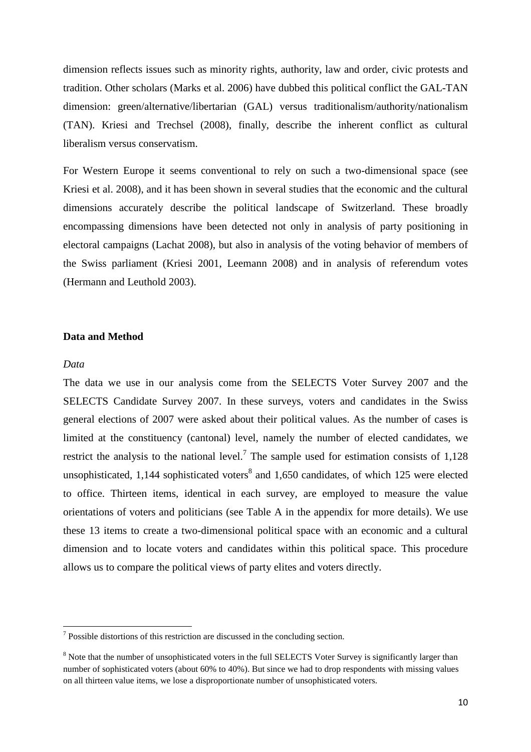dimension reflects issues such as minority rights, authority, law and order, civic protests and tradition. Other scholars (Marks et al. 2006) have dubbed this political conflict the GAL-TAN dimension: green/alternative/libertarian (GAL) versus traditionalism/authority/nationalism (TAN). Kriesi and Trechsel (2008), finally, describe the inherent conflict as cultural liberalism versus conservatism.

For Western Europe it seems conventional to rely on such a two-dimensional space (see Kriesi et al. 2008), and it has been shown in several studies that the economic and the cultural dimensions accurately describe the political landscape of Switzerland. These broadly encompassing dimensions have been detected not only in analysis of party positioning in electoral campaigns (Lachat 2008), but also in analysis of the voting behavior of members of the Swiss parliament (Kriesi 2001, Leemann 2008) and in analysis of referendum votes (Hermann and Leuthold 2003).

# **Data and Method**

#### *Data*

 $\overline{a}$ 

The data we use in our analysis come from the SELECTS Voter Survey 2007 and the SELECTS Candidate Survey 2007. In these surveys, voters and candidates in the Swiss general elections of 2007 were asked about their political values. As the number of cases is limited at the constituency (cantonal) level, namely the number of elected candidates, we restrict the analysis to the national level.<sup>7</sup> The sample used for estimation consists of  $1,128$ unsophisticated, 1,144 sophisticated voters<sup>8</sup> and 1,650 candidates, of which 125 were elected to office. Thirteen items, identical in each survey, are employed to measure the value orientations of voters and politicians (see Table A in the appendix for more details). We use these 13 items to create a two-dimensional political space with an economic and a cultural dimension and to locate voters and candidates within this political space. This procedure allows us to compare the political views of party elites and voters directly.

 $7$  Possible distortions of this restriction are discussed in the concluding section.

<sup>&</sup>lt;sup>8</sup> Note that the number of unsophisticated voters in the full SELECTS Voter Survey is significantly larger than number of sophisticated voters (about 60% to 40%). But since we had to drop respondents with missing values on all thirteen value items, we lose a disproportionate number of unsophisticated voters.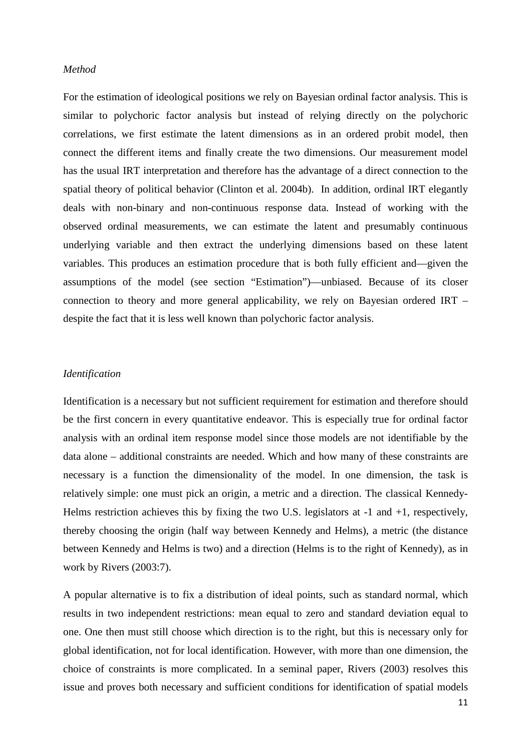#### *Method*

For the estimation of ideological positions we rely on Bayesian ordinal factor analysis. This is similar to polychoric factor analysis but instead of relying directly on the polychoric correlations, we first estimate the latent dimensions as in an ordered probit model, then connect the different items and finally create the two dimensions. Our measurement model has the usual IRT interpretation and therefore has the advantage of a direct connection to the spatial theory of political behavior (Clinton et al. 2004b). In addition, ordinal IRT elegantly deals with non-binary and non-continuous response data. Instead of working with the observed ordinal measurements, we can estimate the latent and presumably continuous underlying variable and then extract the underlying dimensions based on these latent variables. This produces an estimation procedure that is both fully efficient and—given the assumptions of the model (see section "Estimation")—unbiased. Because of its closer connection to theory and more general applicability, we rely on Bayesian ordered IRT – despite the fact that it is less well known than polychoric factor analysis.

#### *Identification*

Identification is a necessary but not sufficient requirement for estimation and therefore should be the first concern in every quantitative endeavor. This is especially true for ordinal factor analysis with an ordinal item response model since those models are not identifiable by the data alone – additional constraints are needed. Which and how many of these constraints are necessary is a function the dimensionality of the model. In one dimension, the task is relatively simple: one must pick an origin, a metric and a direction. The classical Kennedy-Helms restriction achieves this by fixing the two U.S. legislators at -1 and +1, respectively, thereby choosing the origin (half way between Kennedy and Helms), a metric (the distance between Kennedy and Helms is two) and a direction (Helms is to the right of Kennedy), as in work by Rivers (2003:7).

A popular alternative is to fix a distribution of ideal points, such as standard normal, which results in two independent restrictions: mean equal to zero and standard deviation equal to one. One then must still choose which direction is to the right, but this is necessary only for global identification, not for local identification. However, with more than one dimension, the choice of constraints is more complicated. In a seminal paper, Rivers (2003) resolves this issue and proves both necessary and sufficient conditions for identification of spatial models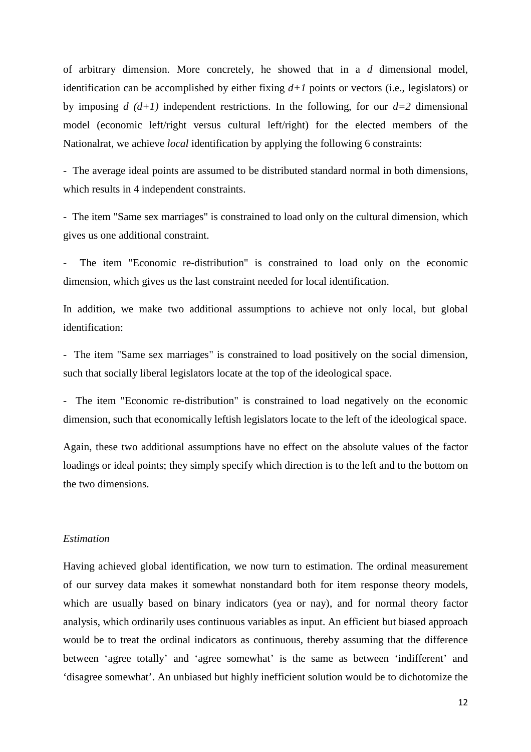of arbitrary dimension. More concretely, he showed that in a *d* dimensional model, identification can be accomplished by either fixing  $d+1$  points or vectors (i.e., legislators) or by imposing  $d(d+1)$  independent restrictions. In the following, for our  $d=2$  dimensional model (economic left/right versus cultural left/right) for the elected members of the Nationalrat, we achieve *local* identification by applying the following 6 constraints:

- The average ideal points are assumed to be distributed standard normal in both dimensions, which results in 4 independent constraints.

- The item "Same sex marriages" is constrained to load only on the cultural dimension, which gives us one additional constraint.

The item "Economic re-distribution" is constrained to load only on the economic dimension, which gives us the last constraint needed for local identification.

In addition, we make two additional assumptions to achieve not only local, but global identification:

- The item "Same sex marriages" is constrained to load positively on the social dimension, such that socially liberal legislators locate at the top of the ideological space.

- The item "Economic re-distribution" is constrained to load negatively on the economic dimension, such that economically leftish legislators locate to the left of the ideological space.

Again, these two additional assumptions have no effect on the absolute values of the factor loadings or ideal points; they simply specify which direction is to the left and to the bottom on the two dimensions.

#### *Estimation*

Having achieved global identification, we now turn to estimation. The ordinal measurement of our survey data makes it somewhat nonstandard both for item response theory models, which are usually based on binary indicators (yea or nay), and for normal theory factor analysis, which ordinarily uses continuous variables as input. An efficient but biased approach would be to treat the ordinal indicators as continuous, thereby assuming that the difference between 'agree totally' and 'agree somewhat' is the same as between 'indifferent' and 'disagree somewhat'. An unbiased but highly inefficient solution would be to dichotomize the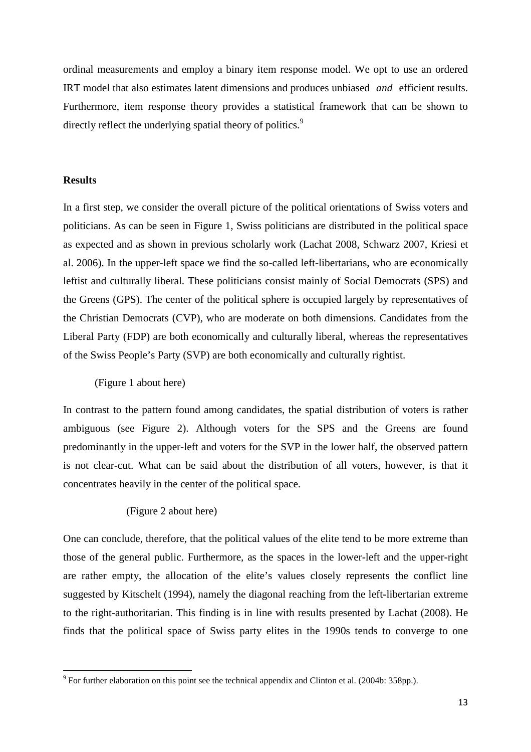ordinal measurements and employ a binary item response model. We opt to use an ordered IRT model that also estimates latent dimensions and produces unbiased *and* efficient results. Furthermore, item response theory provides a statistical framework that can be shown to directly reflect the underlying spatial theory of politics.<sup>9</sup>

#### **Results**

 $\overline{a}$ 

In a first step, we consider the overall picture of the political orientations of Swiss voters and politicians. As can be seen in Figure 1, Swiss politicians are distributed in the political space as expected and as shown in previous scholarly work (Lachat 2008, Schwarz 2007, Kriesi et al. 2006). In the upper-left space we find the so-called left-libertarians, who are economically leftist and culturally liberal. These politicians consist mainly of Social Democrats (SPS) and the Greens (GPS). The center of the political sphere is occupied largely by representatives of the Christian Democrats (CVP), who are moderate on both dimensions. Candidates from the Liberal Party (FDP) are both economically and culturally liberal, whereas the representatives of the Swiss People's Party (SVP) are both economically and culturally rightist.

(Figure 1 about here)

In contrast to the pattern found among candidates, the spatial distribution of voters is rather ambiguous (see Figure 2). Although voters for the SPS and the Greens are found predominantly in the upper-left and voters for the SVP in the lower half, the observed pattern is not clear-cut. What can be said about the distribution of all voters, however, is that it concentrates heavily in the center of the political space.

#### (Figure 2 about here)

One can conclude, therefore, that the political values of the elite tend to be more extreme than those of the general public. Furthermore, as the spaces in the lower-left and the upper-right are rather empty, the allocation of the elite's values closely represents the conflict line suggested by Kitschelt (1994), namely the diagonal reaching from the left-libertarian extreme to the right-authoritarian. This finding is in line with results presented by Lachat (2008). He finds that the political space of Swiss party elites in the 1990s tends to converge to one

 $9^9$  For further elaboration on this point see the technical appendix and Clinton et al. (2004b: 358pp.).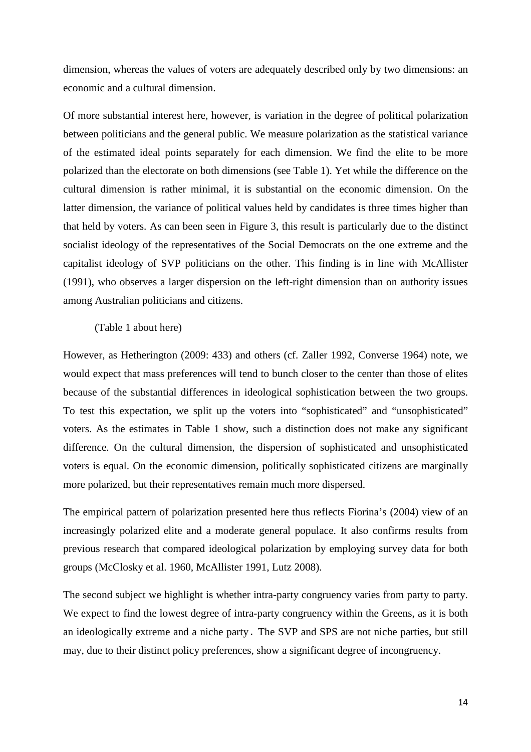dimension, whereas the values of voters are adequately described only by two dimensions: an economic and a cultural dimension.

Of more substantial interest here, however, is variation in the degree of political polarization between politicians and the general public. We measure polarization as the statistical variance of the estimated ideal points separately for each dimension. We find the elite to be more polarized than the electorate on both dimensions (see Table 1). Yet while the difference on the cultural dimension is rather minimal, it is substantial on the economic dimension. On the latter dimension, the variance of political values held by candidates is three times higher than that held by voters. As can been seen in Figure 3, this result is particularly due to the distinct socialist ideology of the representatives of the Social Democrats on the one extreme and the capitalist ideology of SVP politicians on the other. This finding is in line with McAllister (1991), who observes a larger dispersion on the left-right dimension than on authority issues among Australian politicians and citizens.

## (Table 1 about here)

However, as Hetherington (2009: 433) and others (cf. Zaller 1992, Converse 1964) note, we would expect that mass preferences will tend to bunch closer to the center than those of elites because of the substantial differences in ideological sophistication between the two groups. To test this expectation, we split up the voters into "sophisticated" and "unsophisticated" voters. As the estimates in Table 1 show, such a distinction does not make any significant difference. On the cultural dimension, the dispersion of sophisticated and unsophisticated voters is equal. On the economic dimension, politically sophisticated citizens are marginally more polarized, but their representatives remain much more dispersed.

The empirical pattern of polarization presented here thus reflects Fiorina's (2004) view of an increasingly polarized elite and a moderate general populace. It also confirms results from previous research that compared ideological polarization by employing survey data for both groups (McClosky et al. 1960, McAllister 1991, Lutz 2008).

The second subject we highlight is whether intra-party congruency varies from party to party. We expect to find the lowest degree of intra-party congruency within the Greens, as it is both an ideologically extreme and a niche party. The SVP and SPS are not niche parties, but still may, due to their distinct policy preferences, show a significant degree of incongruency.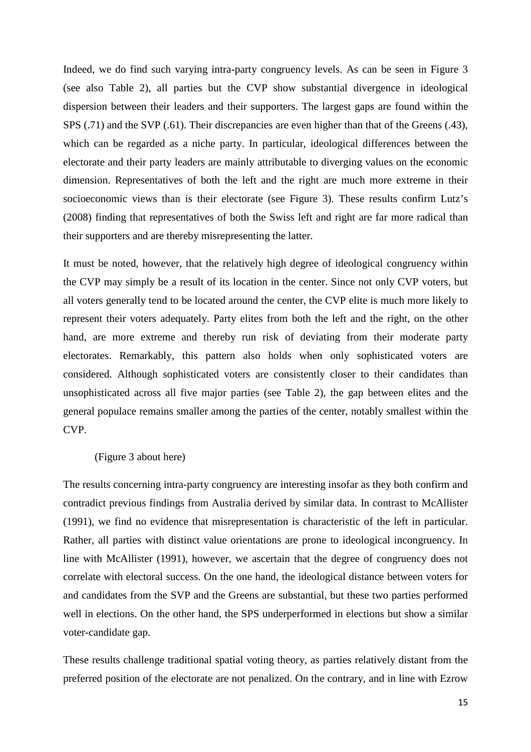Indeed, we do find such varying intra-party congruency levels. As can be seen in Figure 3 (see also Table 2), all parties but the CVP show substantial divergence in ideological dispersion between their leaders and their supporters. The largest gaps are found within the SPS (.71) and the SVP (.61). Their discrepancies are even higher than that of the Greens (.43), which can be regarded as a niche party. In particular, ideological differences between the electorate and their party leaders are mainly attributable to diverging values on the economic dimension. Representatives of both the left and the right are much more extreme in their socioeconomic views than is their electorate (see Figure 3). These results confirm Lutz's (2008) finding that representatives of both the Swiss left and right are far more radical than their supporters and are thereby misrepresenting the latter.

It must be noted, however, that the relatively high degree of ideological congruency within the CVP may simply be a result of its location in the center. Since not only CVP voters, but all voters generally tend to be located around the center, the CVP elite is much more likely to represent their voters adequately. Party elites from both the left and the right, on the other hand, are more extreme and thereby run risk of deviating from their moderate party electorates. Remarkably, this pattern also holds when only sophisticated voters are considered. Although sophisticated voters are consistently closer to their candidates than unsophisticated across all five major parties (see Table 2), the gap between elites and the general populace remains smaller among the parties of the center, notably smallest within the CVP.

#### (Figure 3 about here)

The results concerning intra-party congruency are interesting insofar as they both confirm and contradict previous findings from Australia derived by similar data. In contrast to McAllister (1991), we find no evidence that misrepresentation is characteristic of the left in particular. Rather, all parties with distinct value orientations are prone to ideological incongruency. In line with McAllister (1991), however, we ascertain that the degree of congruency does not correlate with electoral success. On the one hand, the ideological distance between voters for and candidates from the SVP and the Greens are substantial, but these two parties performed well in elections. On the other hand, the SPS underperformed in elections but show a similar voter-candidate gap.

These results challenge traditional spatial voting theory, as parties relatively distant from the preferred position of the electorate are not penalized. On the contrary, and in line with Ezrow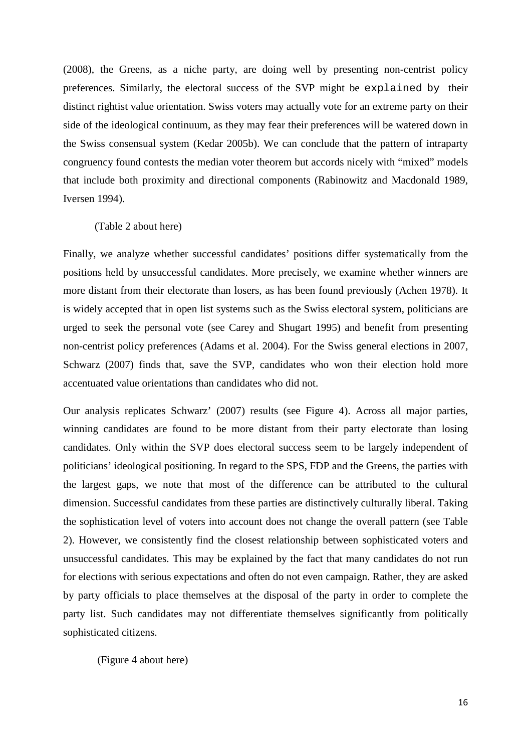(2008), the Greens, as a niche party, are doing well by presenting non-centrist policy preferences. Similarly, the electoral success of the SVP might be explained by their distinct rightist value orientation. Swiss voters may actually vote for an extreme party on their side of the ideological continuum, as they may fear their preferences will be watered down in the Swiss consensual system (Kedar 2005b). We can conclude that the pattern of intraparty congruency found contests the median voter theorem but accords nicely with "mixed" models that include both proximity and directional components (Rabinowitz and Macdonald 1989, Iversen 1994).

# (Table 2 about here)

Finally, we analyze whether successful candidates' positions differ systematically from the positions held by unsuccessful candidates. More precisely, we examine whether winners are more distant from their electorate than losers, as has been found previously (Achen 1978). It is widely accepted that in open list systems such as the Swiss electoral system, politicians are urged to seek the personal vote (see Carey and Shugart 1995) and benefit from presenting non-centrist policy preferences (Adams et al. 2004). For the Swiss general elections in 2007, Schwarz (2007) finds that, save the SVP, candidates who won their election hold more accentuated value orientations than candidates who did not.

Our analysis replicates Schwarz' (2007) results (see Figure 4). Across all major parties, winning candidates are found to be more distant from their party electorate than losing candidates. Only within the SVP does electoral success seem to be largely independent of politicians' ideological positioning. In regard to the SPS, FDP and the Greens, the parties with the largest gaps, we note that most of the difference can be attributed to the cultural dimension. Successful candidates from these parties are distinctively culturally liberal. Taking the sophistication level of voters into account does not change the overall pattern (see Table 2). However, we consistently find the closest relationship between sophisticated voters and unsuccessful candidates. This may be explained by the fact that many candidates do not run for elections with serious expectations and often do not even campaign. Rather, they are asked by party officials to place themselves at the disposal of the party in order to complete the party list. Such candidates may not differentiate themselves significantly from politically sophisticated citizens.

(Figure 4 about here)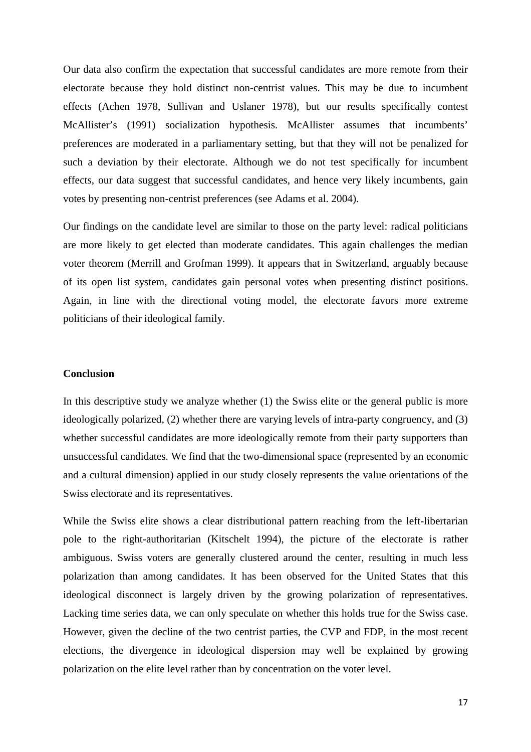Our data also confirm the expectation that successful candidates are more remote from their electorate because they hold distinct non-centrist values. This may be due to incumbent effects (Achen 1978, Sullivan and Uslaner 1978), but our results specifically contest McAllister's (1991) socialization hypothesis. McAllister assumes that incumbents' preferences are moderated in a parliamentary setting, but that they will not be penalized for such a deviation by their electorate. Although we do not test specifically for incumbent effects, our data suggest that successful candidates, and hence very likely incumbents, gain votes by presenting non-centrist preferences (see Adams et al. 2004).

Our findings on the candidate level are similar to those on the party level: radical politicians are more likely to get elected than moderate candidates. This again challenges the median voter theorem (Merrill and Grofman 1999). It appears that in Switzerland, arguably because of its open list system, candidates gain personal votes when presenting distinct positions. Again, in line with the directional voting model, the electorate favors more extreme politicians of their ideological family.

#### **Conclusion**

In this descriptive study we analyze whether (1) the Swiss elite or the general public is more ideologically polarized, (2) whether there are varying levels of intra-party congruency, and (3) whether successful candidates are more ideologically remote from their party supporters than unsuccessful candidates. We find that the two-dimensional space (represented by an economic and a cultural dimension) applied in our study closely represents the value orientations of the Swiss electorate and its representatives.

While the Swiss elite shows a clear distributional pattern reaching from the left-libertarian pole to the right-authoritarian (Kitschelt 1994), the picture of the electorate is rather ambiguous. Swiss voters are generally clustered around the center, resulting in much less polarization than among candidates. It has been observed for the United States that this ideological disconnect is largely driven by the growing polarization of representatives. Lacking time series data, we can only speculate on whether this holds true for the Swiss case. However, given the decline of the two centrist parties, the CVP and FDP, in the most recent elections, the divergence in ideological dispersion may well be explained by growing polarization on the elite level rather than by concentration on the voter level.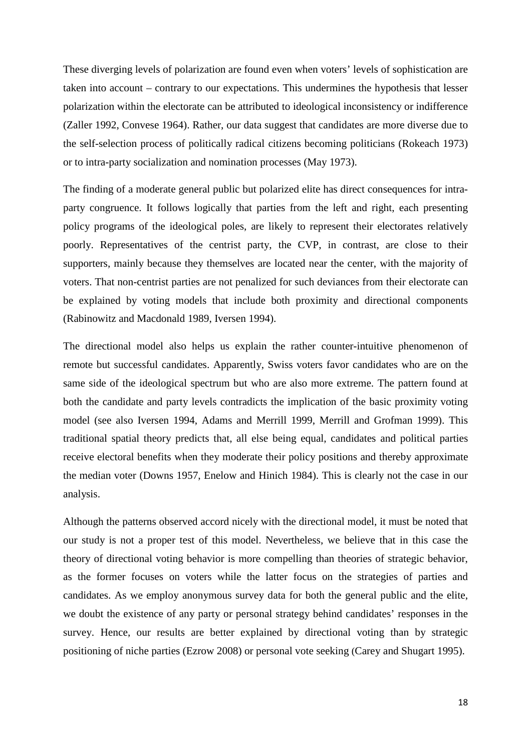These diverging levels of polarization are found even when voters' levels of sophistication are taken into account – contrary to our expectations. This undermines the hypothesis that lesser polarization within the electorate can be attributed to ideological inconsistency or indifference (Zaller 1992, Convese 1964). Rather, our data suggest that candidates are more diverse due to the self-selection process of politically radical citizens becoming politicians (Rokeach 1973) or to intra-party socialization and nomination processes (May 1973).

The finding of a moderate general public but polarized elite has direct consequences for intraparty congruence. It follows logically that parties from the left and right, each presenting policy programs of the ideological poles, are likely to represent their electorates relatively poorly. Representatives of the centrist party, the CVP, in contrast, are close to their supporters, mainly because they themselves are located near the center, with the majority of voters. That non-centrist parties are not penalized for such deviances from their electorate can be explained by voting models that include both proximity and directional components (Rabinowitz and Macdonald 1989, Iversen 1994).

The directional model also helps us explain the rather counter-intuitive phenomenon of remote but successful candidates. Apparently, Swiss voters favor candidates who are on the same side of the ideological spectrum but who are also more extreme. The pattern found at both the candidate and party levels contradicts the implication of the basic proximity voting model (see also Iversen 1994, Adams and Merrill 1999, Merrill and Grofman 1999). This traditional spatial theory predicts that, all else being equal, candidates and political parties receive electoral benefits when they moderate their policy positions and thereby approximate the median voter (Downs 1957, Enelow and Hinich 1984). This is clearly not the case in our analysis.

Although the patterns observed accord nicely with the directional model, it must be noted that our study is not a proper test of this model. Nevertheless, we believe that in this case the theory of directional voting behavior is more compelling than theories of strategic behavior, as the former focuses on voters while the latter focus on the strategies of parties and candidates. As we employ anonymous survey data for both the general public and the elite, we doubt the existence of any party or personal strategy behind candidates' responses in the survey. Hence, our results are better explained by directional voting than by strategic positioning of niche parties (Ezrow 2008) or personal vote seeking (Carey and Shugart 1995).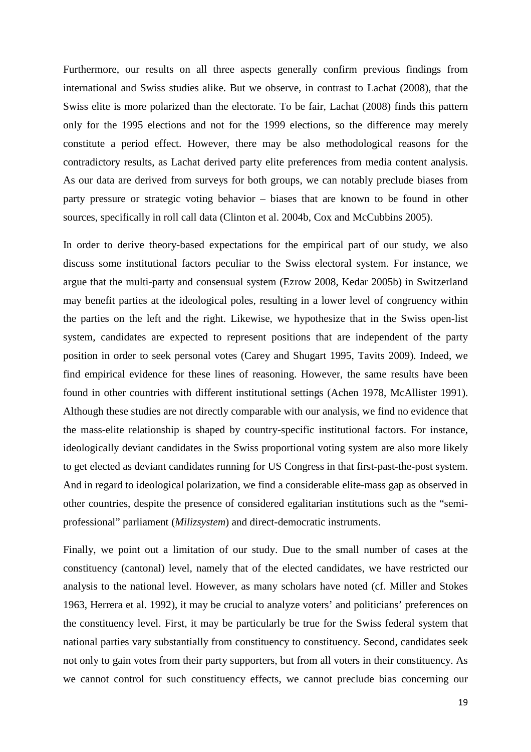Furthermore, our results on all three aspects generally confirm previous findings from international and Swiss studies alike. But we observe, in contrast to Lachat (2008), that the Swiss elite is more polarized than the electorate. To be fair, Lachat (2008) finds this pattern only for the 1995 elections and not for the 1999 elections, so the difference may merely constitute a period effect. However, there may be also methodological reasons for the contradictory results, as Lachat derived party elite preferences from media content analysis. As our data are derived from surveys for both groups, we can notably preclude biases from party pressure or strategic voting behavior – biases that are known to be found in other sources, specifically in roll call data (Clinton et al. 2004b, Cox and McCubbins 2005).

In order to derive theory-based expectations for the empirical part of our study, we also discuss some institutional factors peculiar to the Swiss electoral system. For instance, we argue that the multi-party and consensual system (Ezrow 2008, Kedar 2005b) in Switzerland may benefit parties at the ideological poles, resulting in a lower level of congruency within the parties on the left and the right. Likewise, we hypothesize that in the Swiss open-list system, candidates are expected to represent positions that are independent of the party position in order to seek personal votes (Carey and Shugart 1995, Tavits 2009). Indeed, we find empirical evidence for these lines of reasoning. However, the same results have been found in other countries with different institutional settings (Achen 1978, McAllister 1991). Although these studies are not directly comparable with our analysis, we find no evidence that the mass-elite relationship is shaped by country-specific institutional factors. For instance, ideologically deviant candidates in the Swiss proportional voting system are also more likely to get elected as deviant candidates running for US Congress in that first-past-the-post system. And in regard to ideological polarization, we find a considerable elite-mass gap as observed in other countries, despite the presence of considered egalitarian institutions such as the "semiprofessional" parliament (*Milizsystem*) and direct-democratic instruments.

Finally, we point out a limitation of our study. Due to the small number of cases at the constituency (cantonal) level, namely that of the elected candidates, we have restricted our analysis to the national level. However, as many scholars have noted (cf. Miller and Stokes 1963, Herrera et al. 1992), it may be crucial to analyze voters' and politicians' preferences on the constituency level. First, it may be particularly be true for the Swiss federal system that national parties vary substantially from constituency to constituency. Second, candidates seek not only to gain votes from their party supporters, but from all voters in their constituency. As we cannot control for such constituency effects, we cannot preclude bias concerning our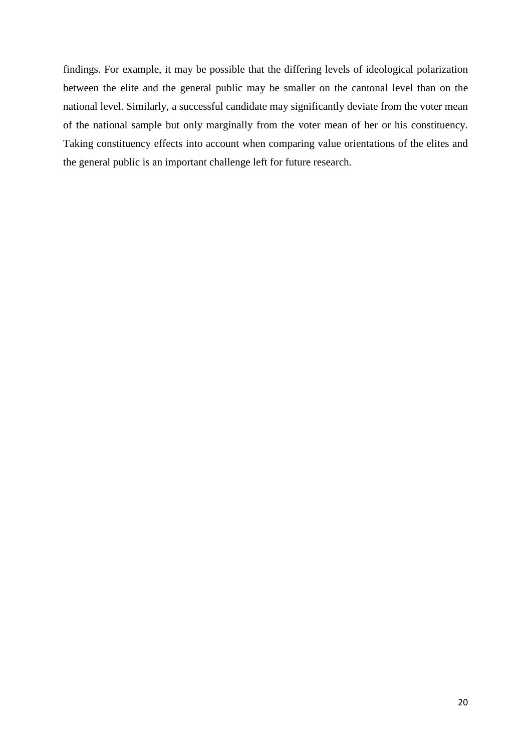findings. For example, it may be possible that the differing levels of ideological polarization between the elite and the general public may be smaller on the cantonal level than on the national level. Similarly, a successful candidate may significantly deviate from the voter mean of the national sample but only marginally from the voter mean of her or his constituency. Taking constituency effects into account when comparing value orientations of the elites and the general public is an important challenge left for future research.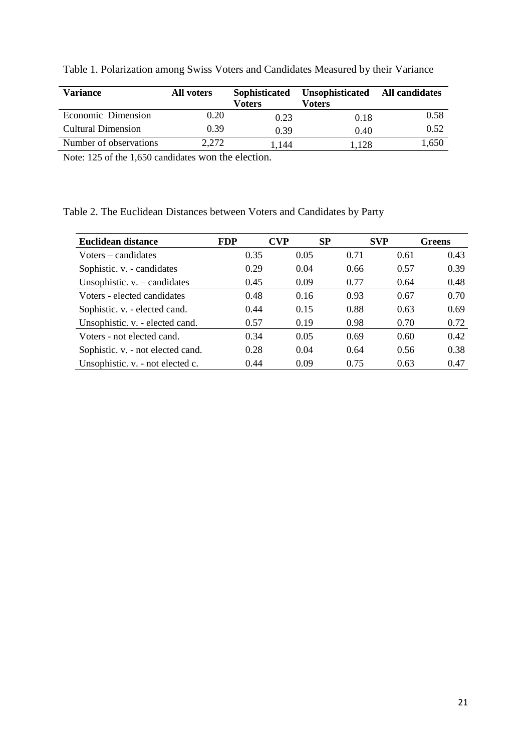| <b>Variance</b>           | All voters | Sophisticated | Unsophisticated | <b>All candidates</b> |
|---------------------------|------------|---------------|-----------------|-----------------------|
|                           |            | <b>Voters</b> | <b>Voters</b>   |                       |
| Economic Dimension        | 0.20       | 0.23          | 0.18            | 0.58                  |
| <b>Cultural Dimension</b> | 0.39       | 0.39          | 0.40            | 0.52                  |
| Number of observations    | 2,272      | 1.144         | 1.128           | 1,650                 |

Table 1. Polarization among Swiss Voters and Candidates Measured by their Variance

Note: 125 of the 1,650 candidates won the election.

Table 2. The Euclidean Distances between Voters and Candidates by Party

| Euclidean distance                | <b>FDP</b> | CVP  | SP   | <b>SVP</b> | Greens |
|-----------------------------------|------------|------|------|------------|--------|
| Voters – candidates               | 0.35       | 0.05 | 0.71 | 0.61       | 0.43   |
| Sophistic. v. - candidates        | 0.29       | 0.04 | 0.66 | 0.57       | 0.39   |
| Unsophistic. $v.$ – candidates    | 0.45       | 0.09 | 0.77 | 0.64       | 0.48   |
| Voters - elected candidates       | 0.48       | 0.16 | 0.93 | 0.67       | 0.70   |
| Sophistic. v. - elected cand.     | 0.44       | 0.15 | 0.88 | 0.63       | 0.69   |
| Unsophistic. v. - elected cand.   | 0.57       | 0.19 | 0.98 | 0.70       | 0.72   |
| Voters - not elected cand.        | 0.34       | 0.05 | 0.69 | 0.60       | 0.42   |
| Sophistic. v. - not elected cand. | 0.28       | 0.04 | 0.64 | 0.56       | 0.38   |
| Unsophistic. v. - not elected c.  | 0.44       | 0.09 | 0.75 | 0.63       | 0.47   |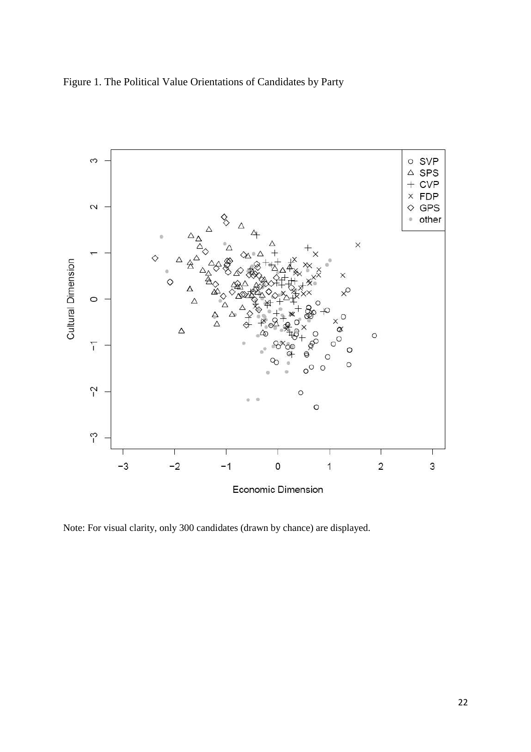



Note: For visual clarity, only 300 candidates (drawn by chance) are displayed.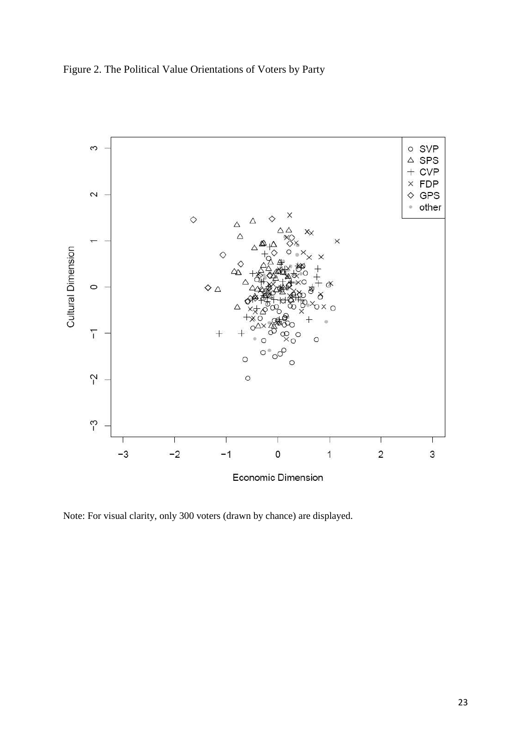



Note: For visual clarity, only 300 voters (drawn by chance) are displayed.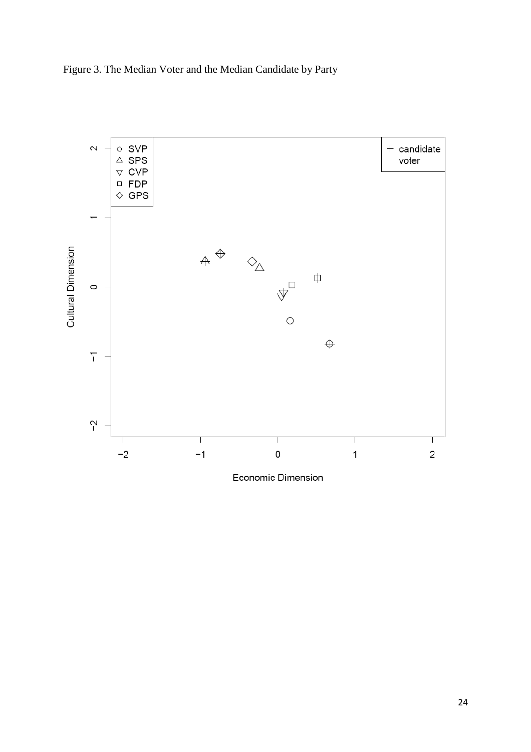



Economic Dimension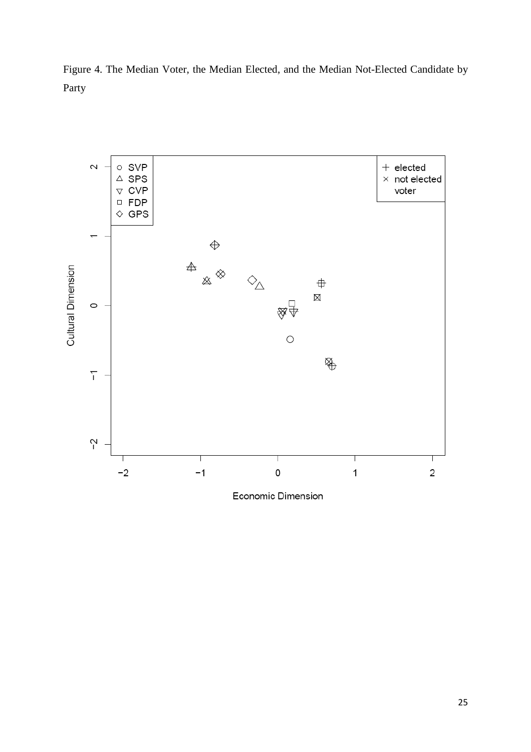Figure 4. The Median Voter, the Median Elected, and the Median Not-Elected Candidate by Party

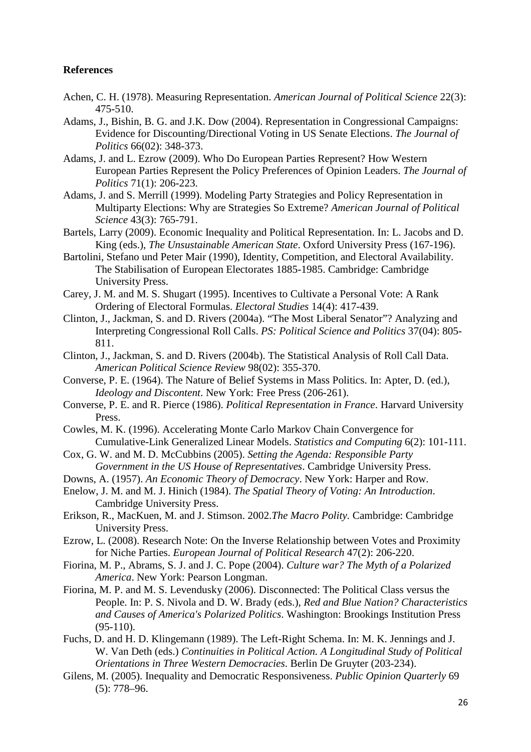# **References**

- Achen, C. H. (1978). Measuring Representation. *American Journal of Political Science* 22(3): 475-510.
- Adams, J., Bishin, B. G. and J.K. Dow (2004). Representation in Congressional Campaigns: Evidence for Discounting/Directional Voting in US Senate Elections. *The Journal of Politics* 66(02): 348-373.
- Adams, J. and L. Ezrow (2009). Who Do European Parties Represent? How Western European Parties Represent the Policy Preferences of Opinion Leaders. *The Journal of Politics* 71(1): 206-223.
- Adams, J. and S. Merrill (1999). Modeling Party Strategies and Policy Representation in Multiparty Elections: Why are Strategies So Extreme? *American Journal of Political Science* 43(3): 765-791.
- Bartels, Larry (2009). Economic Inequality and Political Representation. In: L. Jacobs and D. King (eds.), *The Unsustainable American State*. Oxford University Press (167-196).
- Bartolini, Stefano und Peter Mair (1990), Identity, Competition, and Electoral Availability. The Stabilisation of European Electorates 1885-1985. Cambridge: Cambridge University Press.
- Carey, J. M. and M. S. Shugart (1995). Incentives to Cultivate a Personal Vote: A Rank Ordering of Electoral Formulas. *Electoral Studies* 14(4): 417-439.
- Clinton, J., Jackman, S. and D. Rivers (2004a). "The Most Liberal Senator"? Analyzing and Interpreting Congressional Roll Calls. *PS: Political Science and Politics* 37(04): 805- 811.
- Clinton, J., Jackman, S. and D. Rivers (2004b). The Statistical Analysis of Roll Call Data. *American Political Science Review* 98(02): 355-370.
- Converse, P. E. (1964). The Nature of Belief Systems in Mass Politics. In: Apter, D. (ed.), *Ideology and Discontent*. New York: Free Press (206-261).
- Converse, P. E. and R. Pierce (1986). *Political Representation in France*. Harvard University Press.
- Cowles, M. K. (1996). Accelerating Monte Carlo Markov Chain Convergence for Cumulative-Link Generalized Linear Models. *Statistics and Computing* 6(2): 101-111.
- Cox, G. W. and M. D. McCubbins (2005). *Setting the Agenda: Responsible Party Government in the US House of Representatives*. Cambridge University Press.
- Downs, A. (1957). *An Economic Theory of Democracy*. New York: Harper and Row.
- Enelow, J. M. and M. J. Hinich (1984). *The Spatial Theory of Voting: An Introduction*. Cambridge University Press.
- Erikson, R., MacKuen, M. and J. Stimson. 2002.*The Macro Polity.* Cambridge: Cambridge University Press.
- Ezrow, L. (2008). Research Note: On the Inverse Relationship between Votes and Proximity for Niche Parties. *European Journal of Political Research* 47(2): 206-220.
- Fiorina, M. P., Abrams, S. J. and J. C. Pope (2004). *Culture war? The Myth of a Polarized America*. New York: Pearson Longman.
- Fiorina, M. P. and M. S. Levendusky (2006). Disconnected: The Political Class versus the People. In: P. S. Nivola and D. W. Brady (eds.), *Red and Blue Nation? Characteristics and Causes of America's Polarized Politics*. Washington: Brookings Institution Press (95-110).
- Fuchs, D. and H. D. Klingemann (1989). The Left-Right Schema. In: M. K. Jennings and J. W. Van Deth (eds.) *Continuities in Political Action. A Longitudinal Study of Political Orientations in Three Western Democracies*. Berlin De Gruyter (203-234).
- Gilens, M. (2005). Inequality and Democratic Responsiveness. *Public Opinion Quarterly* 69 (5): 778–96.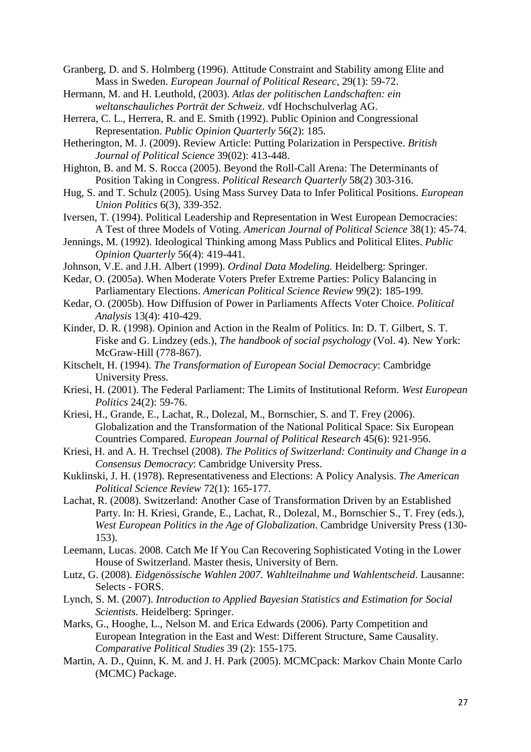Granberg, D. and S. Holmberg (1996). Attitude Constraint and Stability among Elite and Mass in Sweden. *European Journal of Political Researc,* 29(1): 59-72.

Hermann, M. and H. Leuthold, (2003). *Atlas der politischen Landschaften: ein weltanschauliches Porträt der Schweiz*. vdf Hochschulverlag AG.

Herrera, C. L., Herrera, R. and E. Smith (1992). Public Opinion and Congressional Representation. *Public Opinion Quarterly* 56(2): 185.

Hetherington, M. J. (2009). Review Article: Putting Polarization in Perspective. *British Journal of Political Science* 39(02): 413-448.

- Highton, B. and M. S. Rocca (2005). Beyond the Roll-Call Arena: The Determinants of Position Taking in Congress. *Political Research Quarterly* 58(2) 303-316.
- Hug, S. and T. Schulz (2005). Using Mass Survey Data to Infer Political Positions. *European Union Politics* 6(3), 339-352.
- Iversen, T. (1994). Political Leadership and Representation in West European Democracies: A Test of three Models of Voting. *American Journal of Political Science* 38(1): 45-74.
- Jennings, M. (1992). Ideological Thinking among Mass Publics and Political Elites. *Public Opinion Quarterly* 56(4): 419-441.
- Johnson, V.E. and J.H. Albert (1999). *Ordinal Data Modeling.* Heidelberg: Springer.
- Kedar, O. (2005a). When Moderate Voters Prefer Extreme Parties: Policy Balancing in Parliamentary Elections. *American Political Science Review* 99(2): 185-199.
- Kedar, O. (2005b). How Diffusion of Power in Parliaments Affects Voter Choice. *Political Analysis* 13(4): 410-429.
- Kinder, D. R. (1998). Opinion and Action in the Realm of Politics. In: D. T. Gilbert, S. T. Fiske and G. Lindzey (eds.), *The handbook of social psychology* (Vol. 4). New York: McGraw-Hill (778-867).
- Kitschelt, H. (1994). *The Transformation of European Social Democracy*: Cambridge University Press.
- Kriesi, H. (2001). The Federal Parliament: The Limits of Institutional Reform. *West European Politics* 24(2): 59-76.
- Kriesi, H., Grande, E., Lachat, R., Dolezal, M., Bornschier, S. and T. Frey (2006). Globalization and the Transformation of the National Political Space: Six European Countries Compared. *European Journal of Political Research* 45(6): 921-956.
- Kriesi, H. and A. H. Trechsel (2008). *The Politics of Switzerland: Continuity and Change in a Consensus Democracy*: Cambridge University Press.
- Kuklinski, J. H. (1978). Representativeness and Elections: A Policy Analysis. *The American Political Science Review* 72(1): 165-177.
- Lachat, R. (2008). Switzerland: Another Case of Transformation Driven by an Established Party. In: H. Kriesi, Grande, E., Lachat, R., Dolezal, M., Bornschier S., T. Frey (eds.), *West European Politics in the Age of Globalization*. Cambridge University Press (130- 153).
- Leemann, Lucas. 2008. Catch Me If You Can Recovering Sophisticated Voting in the Lower House of Switzerland. Master thesis, University of Bern.
- Lutz, G. (2008). *Eidgenössische Wahlen 2007. Wahlteilnahme und Wahlentscheid*. Lausanne: Selects - FORS.
- Lynch, S. M. (2007). *Introduction to Applied Bayesian Statistics and Estimation for Social Scientists.* Heidelberg: Springer.
- Marks, G., Hooghe, L., Nelson M. and Erica Edwards (2006). Party Competition and European Integration in the East and West: Different Structure, Same Causality. *Comparative Political Studies* 39 (2): 155-175.
- Martin, A. D., Quinn, K. M. and J. H. Park (2005). MCMCpack: Markov Chain Monte Carlo (MCMC) Package.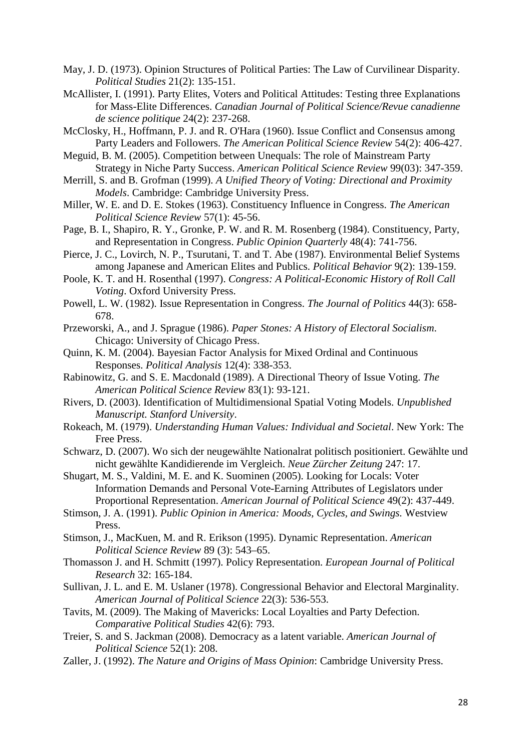- May, J. D. (1973). Opinion Structures of Political Parties: The Law of Curvilinear Disparity. *Political Studies* 21(2): 135-151.
- McAllister, I. (1991). Party Elites, Voters and Political Attitudes: Testing three Explanations for Mass-Elite Differences. *Canadian Journal of Political Science/Revue canadienne de science politique* 24(2): 237-268.
- McClosky, H., Hoffmann, P. J. and R. O'Hara (1960). Issue Conflict and Consensus among Party Leaders and Followers. *The American Political Science Review* 54(2): 406-427.
- Meguid, B. M. (2005). Competition between Unequals: The role of Mainstream Party Strategy in Niche Party Success. *American Political Science Review* 99(03): 347-359.
- Merrill, S. and B. Grofman (1999). *A Unified Theory of Voting: Directional and Proximity Models*. Cambridge: Cambridge University Press.
- Miller, W. E. and D. E. Stokes (1963). Constituency Influence in Congress. *The American Political Science Review* 57(1): 45-56.
- Page, B. I., Shapiro, R. Y., Gronke, P. W. and R. M. Rosenberg (1984). Constituency, Party, and Representation in Congress. *Public Opinion Quarterly* 48(4): 741-756.
- Pierce, J. C., Lovirch, N. P., Tsurutani, T. and T. Abe (1987). Environmental Belief Systems among Japanese and American Elites and Publics. *Political Behavior* 9(2): 139-159.
- Poole, K. T. and H. Rosenthal (1997). *Congress: A Political-Economic History of Roll Call Voting*. Oxford University Press.
- Powell, L. W. (1982). Issue Representation in Congress. *The Journal of Politics* 44(3): 658- 678.
- Przeworski, A., and J. Sprague (1986). *Paper Stones: A History of Electoral Socialism*. Chicago: University of Chicago Press.
- Quinn, K. M. (2004). Bayesian Factor Analysis for Mixed Ordinal and Continuous Responses. *Political Analysis* 12(4): 338-353.
- Rabinowitz, G. and S. E. Macdonald (1989). A Directional Theory of Issue Voting. *The American Political Science Review* 83(1): 93-121.
- Rivers, D. (2003). Identification of Multidimensional Spatial Voting Models. *Unpublished Manuscript. Stanford University*.
- Rokeach, M. (1979). *Understanding Human Values: Individual and Societal*. New York: The Free Press.
- Schwarz, D. (2007). Wo sich der neugewählte Nationalrat politisch positioniert. Gewählte und nicht gewählte Kandidierende im Vergleich. *Neue Zürcher Zeitung* 247: 17.
- Shugart, M. S., Valdini, M. E. and K. Suominen (2005). Looking for Locals: Voter Information Demands and Personal Vote-Earning Attributes of Legislators under Proportional Representation. *American Journal of Political Science* 49(2): 437-449.
- Stimson, J. A. (1991). *Public Opinion in America: Moods, Cycles, and Swings.* Westview Press.

Stimson, J., MacKuen, M. and R. Erikson (1995). Dynamic Representation. *American Political Science Review* 89 (3): 543–65.

- Thomasson J. and H. Schmitt (1997). Policy Representation. *European Journal of Political Research* 32: 165-184.
- Sullivan, J. L. and E. M. Uslaner (1978). Congressional Behavior and Electoral Marginality. *American Journal of Political Science* 22(3): 536-553.
- Tavits, M. (2009). The Making of Mavericks: Local Loyalties and Party Defection. *Comparative Political Studies* 42(6): 793.
- Treier, S. and S. Jackman (2008). Democracy as a latent variable. *American Journal of Political Science* 52(1): 208.
- Zaller, J. (1992). *The Nature and Origins of Mass Opinion*: Cambridge University Press.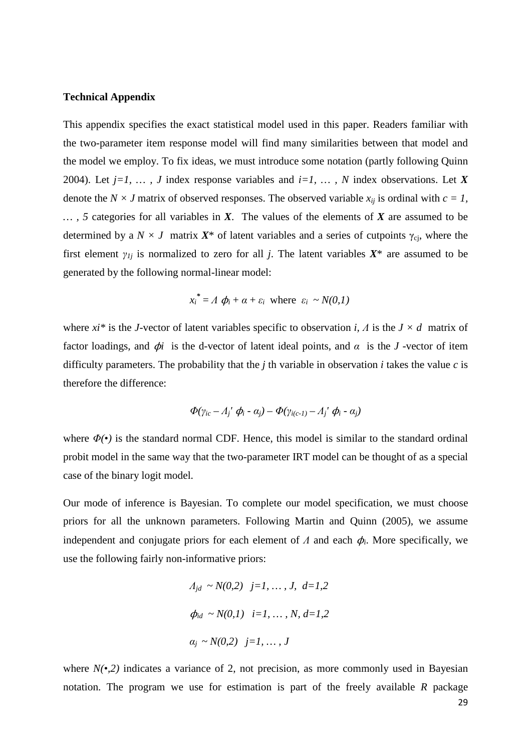#### **Technical Appendix**

This appendix specifies the exact statistical model used in this paper. Readers familiar with the two-parameter item response model will find many similarities between that model and the model we employ. To fix ideas, we must introduce some notation (partly following Quinn 2004). Let *j=1, … , J* index response variables and *i=1, … , N* index observations. Let *X* denote the *N* × *J* matrix of observed responses. The observed variable  $x_{ij}$  is ordinal with  $c = 1$ , *… , 5* categories for all variables in *X*. The values of the elements of *X* are assumed to be determined by a  $N \times J$  matrix  $X^*$  of latent variables and a series of cutpoints  $\gamma_{ci}$ , where the first element  $\gamma_{1i}$  is normalized to zero for all *j*. The latent variables  $X^*$  are assumed to be generated by the following normal-linear model:

$$
x_i^* = A \phi_i + \alpha + \varepsilon_i
$$
 where  $\varepsilon_i \sim N(0,1)$ 

where *xi\** is the *J*-vector of latent variables specific to observation *i, Λ* is the *J × d* matrix of factor loadings, and  $\phi$ *i* is the d-vector of latent ideal points, and  $\alpha$  is the *J*-vector of item difficulty parameters. The probability that the *j* th variable in observation *i* takes the value *c* is therefore the difference:

$$
\Phi(\gamma_{ic} - A_j' \phi_i - \alpha_j) - \Phi(\gamma_{i(c-1)} - A_j' \phi_i - \alpha_j)
$$

where  $\Phi(\cdot)$  is the standard normal CDF. Hence, this model is similar to the standard ordinal probit model in the same way that the two-parameter IRT model can be thought of as a special case of the binary logit model.

Our mode of inference is Bayesian. To complete our model specification, we must choose priors for all the unknown parameters. Following Martin and Quinn (2005), we assume independent and conjugate priors for each element of  $\Lambda$  and each  $\phi_i$ . More specifically, we use the following fairly non-informative priors:

$$
A_{jd} \sim N(0,2) \quad j=1, \dots, J, \quad d=1,2
$$
\n
$$
\phi_{id} \sim N(0,1) \quad i=1, \dots, N, \quad d=1,2
$$
\n
$$
\alpha_j \sim N(0,2) \quad j=1, \dots, J
$$

where  $N(\cdot,2)$  indicates a variance of 2, not precision, as more commonly used in Bayesian notation. The program we use for estimation is part of the freely available *R* package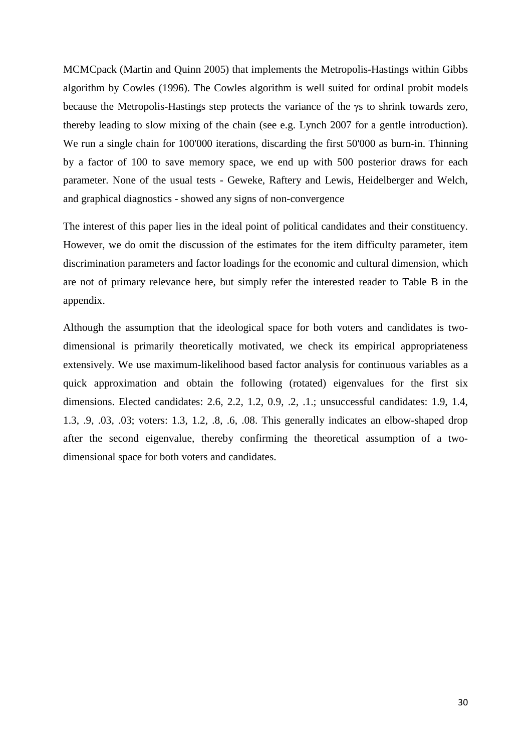MCMCpack (Martin and Quinn 2005) that implements the Metropolis-Hastings within Gibbs algorithm by Cowles (1996). The Cowles algorithm is well suited for ordinal probit models because the Metropolis-Hastings step protects the variance of the γs to shrink towards zero, thereby leading to slow mixing of the chain (see e.g. Lynch 2007 for a gentle introduction). We run a single chain for 100'000 iterations, discarding the first 50'000 as burn-in. Thinning by a factor of 100 to save memory space, we end up with 500 posterior draws for each parameter. None of the usual tests - Geweke, Raftery and Lewis, Heidelberger and Welch, and graphical diagnostics - showed any signs of non-convergence

The interest of this paper lies in the ideal point of political candidates and their constituency. However, we do omit the discussion of the estimates for the item difficulty parameter, item discrimination parameters and factor loadings for the economic and cultural dimension, which are not of primary relevance here, but simply refer the interested reader to Table B in the appendix.

Although the assumption that the ideological space for both voters and candidates is twodimensional is primarily theoretically motivated, we check its empirical appropriateness extensively. We use maximum-likelihood based factor analysis for continuous variables as a quick approximation and obtain the following (rotated) eigenvalues for the first six dimensions. Elected candidates: 2.6, 2.2, 1.2, 0.9, .2, .1.; unsuccessful candidates: 1.9, 1.4, 1.3, .9, .03, .03; voters: 1.3, 1.2, .8, .6, .08. This generally indicates an elbow-shaped drop after the second eigenvalue, thereby confirming the theoretical assumption of a twodimensional space for both voters and candidates.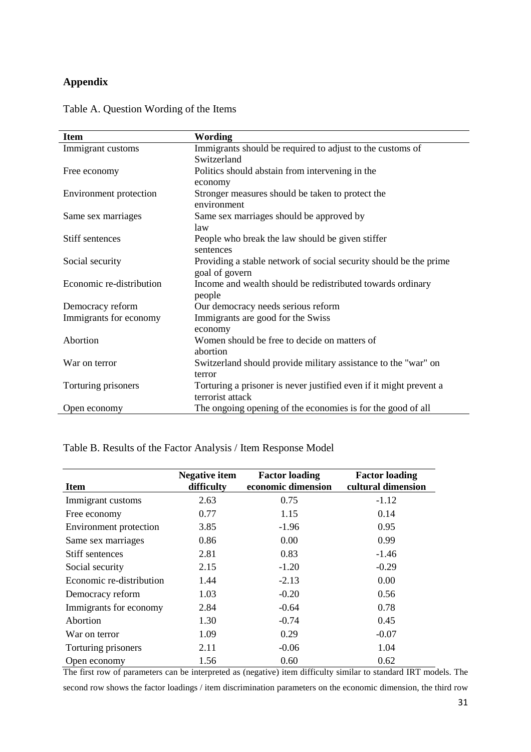# **Appendix**

| <b>Item</b>              | Wording                                                            |  |
|--------------------------|--------------------------------------------------------------------|--|
| Immigrant customs        | Immigrants should be required to adjust to the customs of          |  |
|                          | Switzerland                                                        |  |
| Free economy             | Politics should abstain from intervening in the                    |  |
|                          | economy                                                            |  |
| Environment protection   | Stronger measures should be taken to protect the                   |  |
|                          | environment                                                        |  |
| Same sex marriages       | Same sex marriages should be approved by                           |  |
|                          | law                                                                |  |
| Stiff sentences          | People who break the law should be given stiffer                   |  |
|                          | sentences                                                          |  |
| Social security          | Providing a stable network of social security should be the prime  |  |
|                          | goal of govern                                                     |  |
| Economic re-distribution | Income and wealth should be redistributed towards ordinary         |  |
|                          | people                                                             |  |
| Democracy reform         | Our democracy needs serious reform                                 |  |
| Immigrants for economy   | Immigrants are good for the Swiss                                  |  |
|                          | economy                                                            |  |
| Abortion                 | Women should be free to decide on matters of                       |  |
|                          | abortion                                                           |  |
| War on terror            | Switzerland should provide military assistance to the "war" on     |  |
|                          | terror                                                             |  |
| Torturing prisoners      | Torturing a prisoner is never justified even if it might prevent a |  |
|                          | terrorist attack                                                   |  |
| Open economy             | The ongoing opening of the economies is for the good of all        |  |

# Table A. Question Wording of the Items

Table B. Results of the Factor Analysis / Item Response Model

| <b>Item</b>              | <b>Negative item</b><br>difficulty | <b>Factor loading</b><br>economic dimension | <b>Factor loading</b><br>cultural dimension |
|--------------------------|------------------------------------|---------------------------------------------|---------------------------------------------|
| Immigrant customs        | 2.63                               | 0.75                                        | $-1.12$                                     |
| Free economy             | 0.77                               | 1.15                                        | 0.14                                        |
| Environment protection   | 3.85                               | $-1.96$                                     | 0.95                                        |
| Same sex marriages       | 0.86                               | 0.00                                        | 0.99                                        |
| Stiff sentences          | 2.81                               | 0.83                                        | $-1.46$                                     |
| Social security          | 2.15                               | $-1.20$                                     | $-0.29$                                     |
| Economic re-distribution | 1.44                               | $-2.13$                                     | 0.00                                        |
| Democracy reform         | 1.03                               | $-0.20$                                     | 0.56                                        |
| Immigrants for economy   | 2.84                               | $-0.64$                                     | 0.78                                        |
| Abortion                 | 1.30                               | $-0.74$                                     | 0.45                                        |
| War on terror            | 1.09                               | 0.29                                        | $-0.07$                                     |
| Torturing prisoners      | 2.11                               | $-0.06$                                     | 1.04                                        |
| Open economy             | 1.56                               | 0.60                                        | 0.62                                        |

The first row of parameters can be interpreted as (negative) item difficulty similar to standard IRT models. The

second row shows the factor loadings / item discrimination parameters on the economic dimension, the third row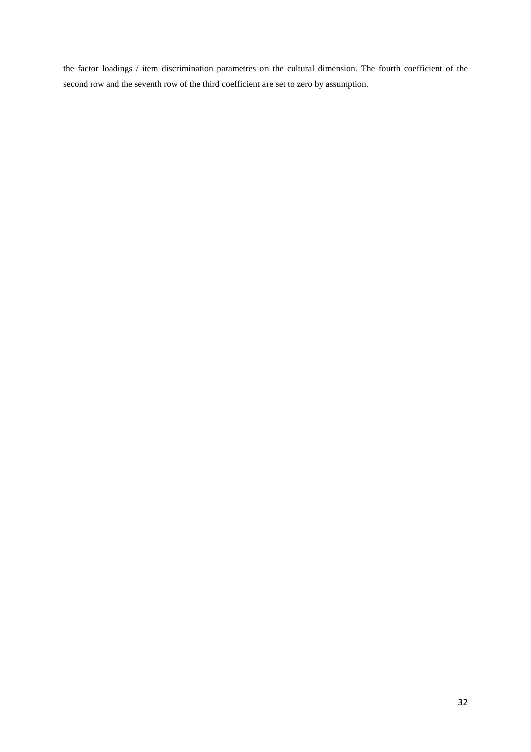the factor loadings / item discrimination parametres on the cultural dimension. The fourth coefficient of the second row and the seventh row of the third coefficient are set to zero by assumption.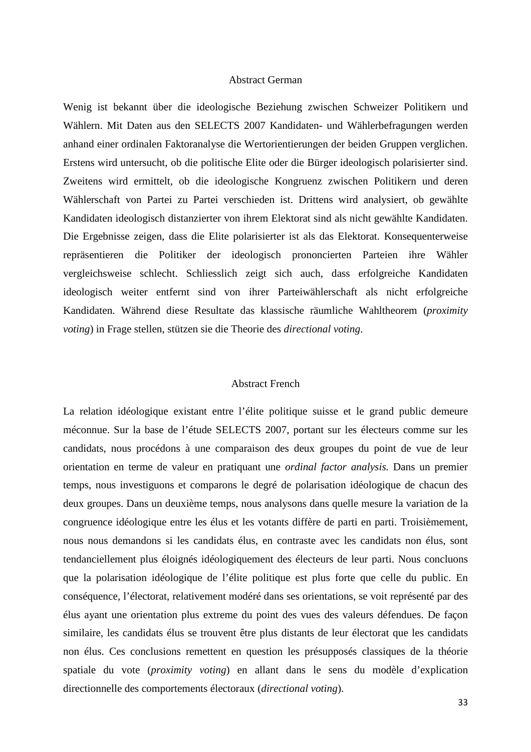#### Abstract German

Wenig ist bekannt über die ideologische Beziehung zwischen Schweizer Politikern und Wählern. Mit Daten aus den SELECTS 2007 Kandidaten- und Wählerbefragungen werden anhand einer ordinalen Faktoranalyse die Wertorientierungen der beiden Gruppen verglichen. Erstens wird untersucht, ob die politische Elite oder die Bürger ideologisch polarisierter sind. Zweitens wird ermittelt, ob die ideologische Kongruenz zwischen Politikern und deren Wählerschaft von Partei zu Partei verschieden ist. Drittens wird analysiert, ob gewählte Kandidaten ideologisch distanzierter von ihrem Elektorat sind als nicht gewählte Kandidaten. Die Ergebnisse zeigen, dass die Elite polarisierter ist als das Elektorat. Konsequenterweise repräsentieren die Politiker der ideologisch prononcierten Parteien ihre Wähler vergleichsweise schlecht. Schliesslich zeigt sich auch, dass erfolgreiche Kandidaten ideologisch weiter entfernt sind von ihrer Parteiwählerschaft als nicht erfolgreiche Kandidaten. Während diese Resultate das klassische räumliche Wahltheorem (*proximity voting*) in Frage stellen, stützen sie die Theorie des *directional voting*.

#### Abstract French

La relation idéologique existant entre l'élite politique suisse et le grand public demeure méconnue. Sur la base de l'étude SELECTS 2007, portant sur les électeurs comme sur les candidats, nous procédons à une comparaison des deux groupes du point de vue de leur orientation en terme de valeur en pratiquant une *ordinal factor analysis.* Dans un premier temps, nous investiguons et comparons le degré de polarisation idéologique de chacun des deux groupes. Dans un deuxième temps, nous analysons dans quelle mesure la variation de la congruence idéologique entre les élus et les votants diffère de parti en parti. Troisièmement, nous nous demandons si les candidats élus, en contraste avec les candidats non élus, sont tendanciellement plus éloignés idéologiquement des électeurs de leur parti. Nous concluons que la polarisation idéologique de l'élite politique est plus forte que celle du public. En conséquence, l'électorat, relativement modéré dans ses orientations, se voit représenté par des élus ayant une orientation plus extreme du point des vues des valeurs défendues. De façon similaire, les candidats élus se trouvent être plus distants de leur électorat que les candidats non élus. Ces conclusions remettent en question les présupposés classiques de la théorie spatiale du vote (*proximity voting*) en allant dans le sens du modèle d'explication directionnelle des comportements électoraux (*directional voting*).